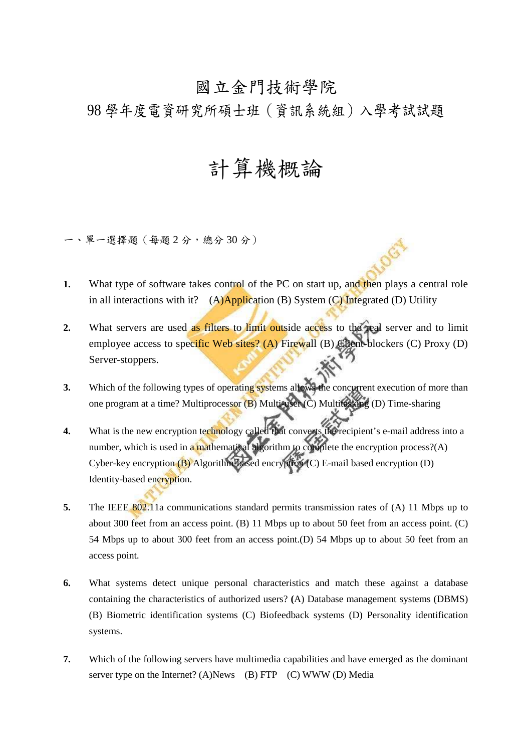## 國立金門技術學院

98 學年度電資研究所碩士班(資訊系統組)入學考試試題

## 計算機概論

一、單一選擇題(每題 2 分,總分 30 分)

- **1.** What type of software takes control of the PC on start up, and then plays a central role in all interactions with it? (A)Application (B) System (C) Integrated (D) Utility
- **2.** What servers are used as filters to limit outside access to the real server and to limit employee access to specific Web sites? (A) Firewall (B) Client-blockers (C) Proxy (D) Server-stoppers.
- **3.** Which of the following types of operating systems allows the concurrent execution of more than one program at a time? Multiprocessor (B) Multi-user (C) Multitasking (D) Time-sharing
- **4.** What is the new encryption technology called that converts the recipient's e-mail address into a number, which is used in a mathematical algorithm to complete the encryption process?(A) Cyber-key encryption (B) Algorithm-based encryption (C) E-mail based encryption (D) Identity-based encryption.
- **5.** The IEEE 802.11a communications standard permits transmission rates of (A) 11 Mbps up to about 300 feet from an access point. (B) 11 Mbps up to about 50 feet from an access point. (C) 54 Mbps up to about 300 feet from an access point.(D) 54 Mbps up to about 50 feet from an access point.
- **6.** What systems detect unique personal characteristics and match these against a database containing the characteristics of authorized users? **(**A) Database management systems (DBMS) (B) Biometric identification systems (C) Biofeedback systems (D) Personality identification systems.
- **7.** Which of the following servers have multimedia capabilities and have emerged as the dominant server type on the Internet? (A)News (B) FTP (C) WWW (D) Media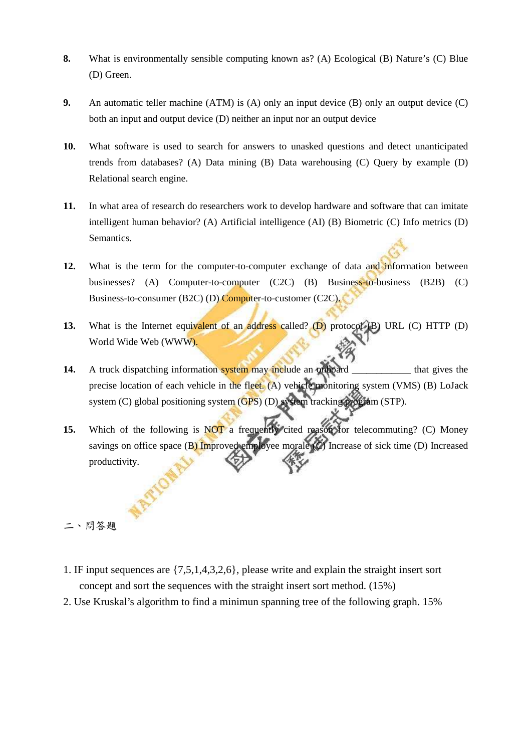- **8.** What is environmentally sensible computing known as? (A) Ecological (B) Nature's (C) Blue (D) Green.
- **9.** An automatic teller machine (ATM) is (A) only an input device (B) only an output device (C) both an input and output device (D) neither an input nor an output device
- **10.** What software is used to search for answers to unasked questions and detect unanticipated trends from databases? (A) Data mining (B) Data warehousing (C) Query by example (D) Relational search engine.
- **11.** In what area of research do researchers work to develop hardware and software that can imitate intelligent human behavior? (A) Artificial intelligence (AI) (B) Biometric (C) Info metrics (D) Semantics.
- **12.** What is the term for the computer-to-computer exchange of data and information between businesses? (A) Computer-to-computer (C2C) (B) Business-to-business (B2B) (C) Business-to-consumer (B2C) (D) Computer-to-customer (C2C).
- **13.** What is the Internet equivalent of an address called? (D) protocol (B) URL (C) HTTP (D) World Wide Web (WWW).
- **14.** A truck dispatching information system may include an onboard \_\_\_\_\_\_\_\_\_\_\_ that gives the precise location of each vehicle in the fleet. (A) vehicle monitoring system (VMS) (B) LoJack system (C) global positioning system (GPS) (D) system tracking program (STP).
- **15.** Which of the following is NOT a frequently cited reason for telecommuting? (C) Money savings on office space (B) Improved employee morale  $\mathcal{O}$  Increase of sick time (D) Increased productivity.

二、問答題

- 1. IF input sequences are {7,5,1,4,3,2,6}, please write and explain the straight insert sort concept and sort the sequences with the straight insert sort method. (15%)
- 2. Use Kruskal's algorithm to find a minimun spanning tree of the following graph. 15%